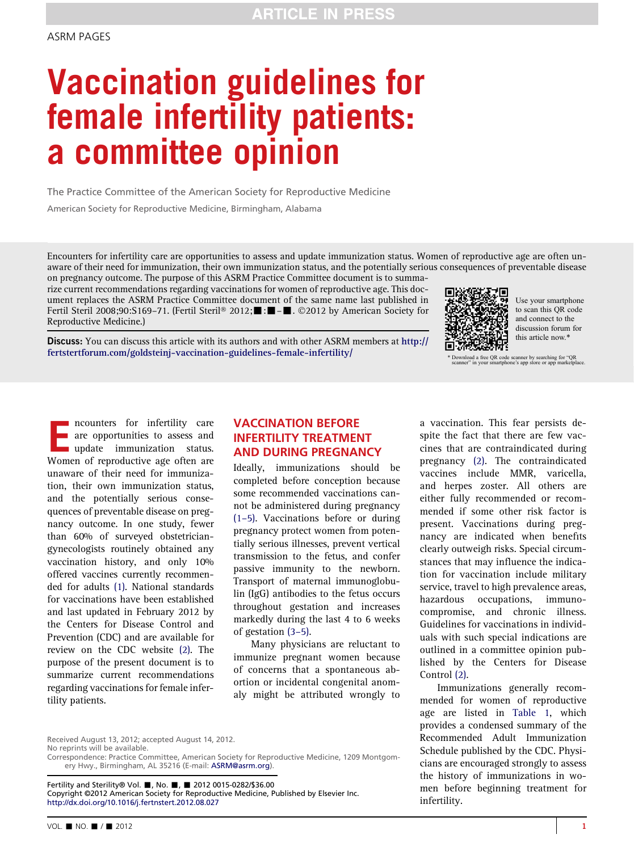# Vaccination guidelines for female infertility patients: a committee opinion

The Practice Committee of the American Society for Reproductive Medicine

American Society for Reproductive Medicine, Birmingham, Alabama

Encounters for infertility care are opportunities to assess and update immunization status. Women of reproductive age are often unaware of their need for immunization, their own immunization status, and the potentially serious consequences of preventable disease on pregnancy outcome. The purpose of this ASRM Practice Committee document is to summa-

rize current recommendations regarding vaccinations for women of reproductive age. This document replaces the ASRM Practice Committee document of the same name last published in Fertil Steril 2008;90:S169-71. (Fertil Steril® 2012; $\blacksquare$ : $\blacksquare$ . ©2012 by American Society for Reproductive Medicine.)

Discuss: You can discuss this article with its authors and with other ASRM members at [http://](http://fertstertforum.com/goldsteinj-vaccination-guidelines-female-infertility/) [fertstertforum.com/goldsteinj-vaccination-guidelines-female-infertility/](http://fertstertforum.com/goldsteinj-vaccination-guidelines-female-infertility/)



Use your smartphone to scan this QR code and connect to the discussion forum for this article now.\*

\* Download a free QR code scanner by searching for "QR scanner" in your smartphone's app store or app marketplace.

mounters for infertility care<br>are opportunities to assess and<br>update immunization status.<br>Women of reproductive age often are are opportunities to assess and update immunization status. Women of reproductive age often are unaware of their need for immunization, their own immunization status, and the potentially serious consequences of preventable disease on pregnancy outcome. In one study, fewer than 60% of surveyed obstetriciangynecologists routinely obtained any vaccination history, and only 10% offered vaccines currently recommended for adults [\(1\)](#page-2-0). National standards for vaccinations have been established and last updated in February 2012 by the Centers for Disease Control and Prevention (CDC) and are available for review on the CDC website [\(2\).](#page-2-0) The purpose of the present document is to summarize current recommendations regarding vaccinations for female infertility patients.

# VACCINATION BEFORE INFERTILITY TREATMENT AND DURING PREGNANCY

Ideally, immunizations should be completed before conception because some recommended vaccinations cannot be administered during pregnancy (1–[5\).](#page-2-0) Vaccinations before or during pregnancy protect women from potentially serious illnesses, prevent vertical transmission to the fetus, and confer passive immunity to the newborn. Transport of maternal immunoglobulin (IgG) antibodies to the fetus occurs throughout gestation and increases markedly during the last 4 to 6 weeks of gestation (3–[5\).](#page-2-0)

Many physicians are reluctant to immunize pregnant women because of concerns that a spontaneous abortion or incidental congenital anomaly might be attributed wrongly to

Received August 13, 2012; accepted August 14, 2012. No reprints will be available.

Correspondence: Practice Committee, American Society for Reproductive Medicine, 1209 Montgom-ery Hwy., Birmingham, AL 35216 (E-mail: [ASRM@asrm.org](mailto:ASRM@asrm.org)).

Fertility and Sterility® Vol. |, No. |, 2012 0015-0282/\$36.00 Copyright ©2012 American Society for Reproductive Medicine, Published by Elsevier Inc. <http://dx.doi.org/10.1016/j.fertnstert.2012.08.027>

a vaccination. This fear persists despite the fact that there are few vaccines that are contraindicated during pregnancy [\(2\).](#page-2-0) The contraindicated vaccines include MMR, varicella, and herpes zoster. All others are either fully recommended or recommended if some other risk factor is present. Vaccinations during pregnancy are indicated when benefits clearly outweigh risks. Special circumstances that may influence the indication for vaccination include military service, travel to high prevalence areas, hazardous occupations, immunocompromise, and chronic illness. Guidelines for vaccinations in individuals with such special indications are outlined in a committee opinion published by the Centers for Disease Control [\(2\).](#page-2-0)

Immunizations generally recommended for women of reproductive age are listed in [Table 1,](#page-1-0) which provides a condensed summary of the Recommended Adult Immunization Schedule published by the CDC. Physicians are encouraged strongly to assess the history of immunizations in women before beginning treatment for infertility.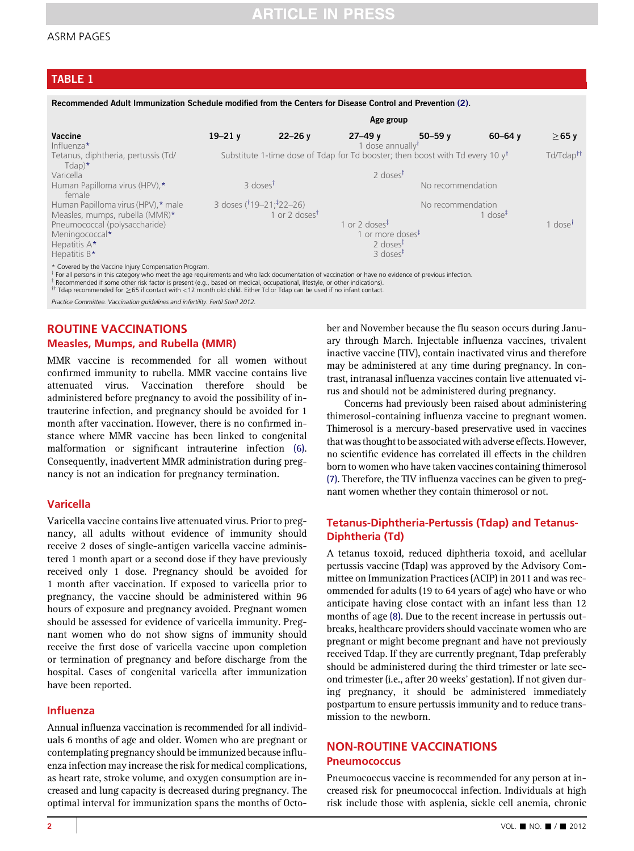# <span id="page-1-0"></span>TABLE 1

Recommended Adult Immunization Schedule modified from the Centers for Disease Control and Prevention [\(2\).](#page-2-0)

| Vaccine                                                                                                                                                                                                                   | Age group                                                                                |            |                              |             |             |                       |
|---------------------------------------------------------------------------------------------------------------------------------------------------------------------------------------------------------------------------|------------------------------------------------------------------------------------------|------------|------------------------------|-------------|-------------|-----------------------|
|                                                                                                                                                                                                                           | $19 - 21y$                                                                               | $22 - 26y$ | $27 - 49y$                   | $50 - 59$ v | $60 - 64$ v | $\geq$ 65 y           |
| Influenza*                                                                                                                                                                                                                |                                                                                          |            | 1 dose annually <sup>t</sup> |             |             |                       |
| Tetanus, diphtheria, pertussis (Td/<br>$T$ dap)*                                                                                                                                                                          | Substitute 1-time dose of Tdap for Td booster; then boost with Td every 10 $y^{\dagger}$ |            |                              |             |             | Td/Tdap <sup>tt</sup> |
| Varicella                                                                                                                                                                                                                 | 2 doses <sup>t</sup>                                                                     |            |                              |             |             |                       |
| Human Papilloma virus (HPV),*<br>female                                                                                                                                                                                   | 3 doses <sup>t</sup>                                                                     |            | No recommendation            |             |             |                       |
| Human Papilloma virus (HPV),* male                                                                                                                                                                                        | 3 doses ( <sup>†</sup> 19-21; <sup>‡</sup> 22-26)                                        |            | No recommendation            |             |             |                       |
| Measles, mumps, rubella (MMR)*                                                                                                                                                                                            | 1 or 2 doses <sup>t</sup>                                                                |            |                              |             | 1 dose $‡$  |                       |
| Pneumococcal (polysaccharide)                                                                                                                                                                                             | 1 or 2 doses $1$                                                                         |            |                              |             |             | 1 dose <sup>t</sup>   |
| Meningococcal*                                                                                                                                                                                                            | 1 or more doses <sup>#</sup>                                                             |            |                              |             |             |                       |
| Hepatitis $A^*$                                                                                                                                                                                                           | 2 doses $\pm$                                                                            |            |                              |             |             |                       |
| Hepatitis $B^*$                                                                                                                                                                                                           | $3$ doses <sup><math>\ddagger</math></sup>                                               |            |                              |             |             |                       |
| * Covered by the Vaccine Injury Compensation Program.<br><sup>†</sup> For all persons in this category who meet the age requirements and who lack documentation of vaccination or have no evidence of previous infection. |                                                                                          |            |                              |             |             |                       |

Recommended if some other risk factor is present (e.g., based on medical, occupational, lifestyle, or other indications).

<sup> $#$ </sup> Tdap recommended for  $\geq$  65 if contact with <12 month old child. Either Td or Tdap can be used if no infant contact.

Practice Committee. Vaccination guidelines and infertility. Fertil Steril 2012.

# ROUTINE VACCINATIONS Measles, Mumps, and Rubella (MMR)

MMR vaccine is recommended for all women without confirmed immunity to rubella. MMR vaccine contains live attenuated virus. Vaccination therefore should be administered before pregnancy to avoid the possibility of intrauterine infection, and pregnancy should be avoided for 1 month after vaccination. However, there is no confirmed instance where MMR vaccine has been linked to congenital malformation or significant intrauterine infection [\(6\).](#page-2-0) Consequently, inadvertent MMR administration during pregnancy is not an indication for pregnancy termination.

#### Varicella

Varicella vaccine contains live attenuated virus. Prior to pregnancy, all adults without evidence of immunity should receive 2 doses of single-antigen varicella vaccine administered 1 month apart or a second dose if they have previously received only 1 dose. Pregnancy should be avoided for 1 month after vaccination. If exposed to varicella prior to pregnancy, the vaccine should be administered within 96 hours of exposure and pregnancy avoided. Pregnant women should be assessed for evidence of varicella immunity. Pregnant women who do not show signs of immunity should receive the first dose of varicella vaccine upon completion or termination of pregnancy and before discharge from the hospital. Cases of congenital varicella after immunization have been reported.

### Influenza

Annual influenza vaccination is recommended for all individuals 6 months of age and older. Women who are pregnant or contemplating pregnancy should be immunized because influenza infection may increase the risk for medical complications, as heart rate, stroke volume, and oxygen consumption are increased and lung capacity is decreased during pregnancy. The optimal interval for immunization spans the months of October and November because the flu season occurs during January through March. Injectable influenza vaccines, trivalent inactive vaccine (TIV), contain inactivated virus and therefore may be administered at any time during pregnancy. In contrast, intranasal influenza vaccines contain live attenuated virus and should not be administered during pregnancy.

Concerns had previously been raised about administering thimerosol-containing influenza vaccine to pregnant women. Thimerosol is a mercury-based preservative used in vaccines that was thought to be associated with adverse effects. However, no scientific evidence has correlated ill effects in the children born to women who have taken vaccines containing thimerosol [\(7\).](#page-2-0) Therefore, the TIV influenza vaccines can be given to pregnant women whether they contain thimerosol or not.

#### Tetanus-Diphtheria-Pertussis (Tdap) and Tetanus-Diphtheria (Td)

A tetanus toxoid, reduced diphtheria toxoid, and acellular pertussis vaccine (Tdap) was approved by the Advisory Committee on Immunization Practices (ACIP) in 2011 and was recommended for adults (19 to 64 years of age) who have or who anticipate having close contact with an infant less than 12 months of age [\(8\)](#page-2-0). Due to the recent increase in pertussis outbreaks, healthcare providers should vaccinate women who are pregnant or might become pregnant and have not previously received Tdap. If they are currently pregnant, Tdap preferably should be administered during the third trimester or late second trimester (i.e., after 20 weeks' gestation). If not given during pregnancy, it should be administered immediately postpartum to ensure pertussis immunity and to reduce transmission to the newborn.

# NON-ROUTINE VACCINATIONS **Pneumococcus**

Pneumococcus vaccine is recommended for any person at increased risk for pneumococcal infection. Individuals at high risk include those with asplenia, sickle cell anemia, chronic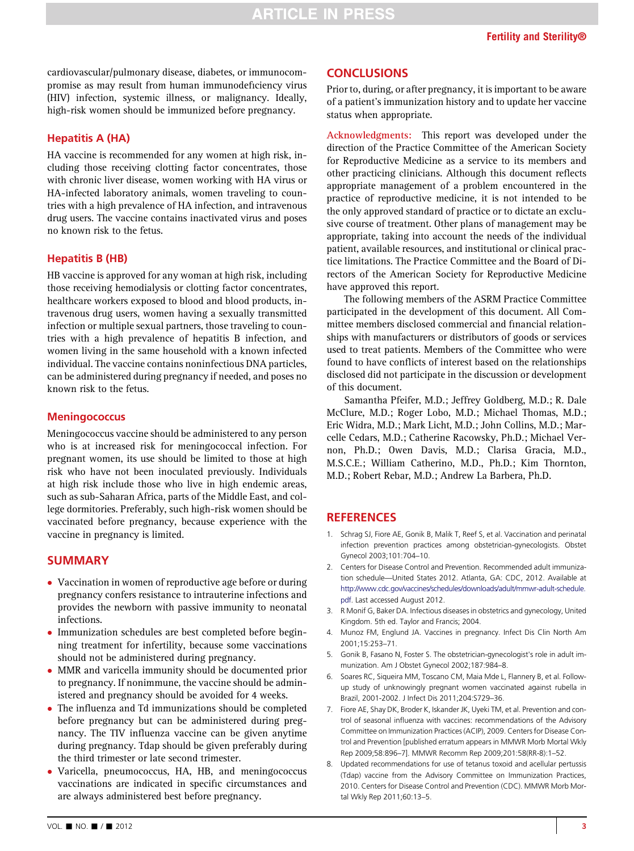<span id="page-2-0"></span>cardiovascular/pulmonary disease, diabetes, or immunocompromise as may result from human immunodeficiency virus (HIV) infection, systemic illness, or malignancy. Ideally, high-risk women should be immunized before pregnancy.

#### Hepatitis A (HA)

HA vaccine is recommended for any women at high risk, including those receiving clotting factor concentrates, those with chronic liver disease, women working with HA virus or HA-infected laboratory animals, women traveling to countries with a high prevalence of HA infection, and intravenous drug users. The vaccine contains inactivated virus and poses no known risk to the fetus.

#### Hepatitis B (HB)

HB vaccine is approved for any woman at high risk, including those receiving hemodialysis or clotting factor concentrates, healthcare workers exposed to blood and blood products, intravenous drug users, women having a sexually transmitted infection or multiple sexual partners, those traveling to countries with a high prevalence of hepatitis B infection, and women living in the same household with a known infected individual. The vaccine contains noninfectious DNA particles, can be administered during pregnancy if needed, and poses no known risk to the fetus.

#### **Meningococcus**

Meningococcus vaccine should be administered to any person who is at increased risk for meningococcal infection. For pregnant women, its use should be limited to those at high risk who have not been inoculated previously. Individuals at high risk include those who live in high endemic areas, such as sub-Saharan Africa, parts of the Middle East, and college dormitories. Preferably, such high-risk women should be vaccinated before pregnancy, because experience with the vaccine in pregnancy is limited.

#### **SUMMARY**

- Vaccination in women of reproductive age before or during pregnancy confers resistance to intrauterine infections and provides the newborn with passive immunity to neonatal infections.
- $\bullet$  Immunization schedules are best completed before beginning treatment for infertility, because some vaccinations should not be administered during pregnancy.
- MMR and varicella immunity should be documented prior to pregnancy. If nonimmune, the vaccine should be administered and pregnancy should be avoided for 4 weeks.
- $\bullet$  The influenza and Td immunizations should be completed before pregnancy but can be administered during pregnancy. The TIV influenza vaccine can be given anytime during pregnancy. Tdap should be given preferably during the third trimester or late second trimester.
- $\bullet$  Varicella, pneumococcus, HA, HB, and meningococcus vaccinations are indicated in specific circumstances and are always administered best before pregnancy.

#### **CONCLUSIONS**

Prior to, during, or after pregnancy, it is important to be aware of a patient's immunization history and to update her vaccine status when appropriate.

Acknowledgments: This report was developed under the direction of the Practice Committee of the American Society for Reproductive Medicine as a service to its members and other practicing clinicians. Although this document reflects appropriate management of a problem encountered in the practice of reproductive medicine, it is not intended to be the only approved standard of practice or to dictate an exclusive course of treatment. Other plans of management may be appropriate, taking into account the needs of the individual patient, available resources, and institutional or clinical practice limitations. The Practice Committee and the Board of Directors of the American Society for Reproductive Medicine have approved this report.

The following members of the ASRM Practice Committee participated in the development of this document. All Committee members disclosed commercial and financial relationships with manufacturers or distributors of goods or services used to treat patients. Members of the Committee who were found to have conflicts of interest based on the relationships disclosed did not participate in the discussion or development of this document.

Samantha Pfeifer, M.D.; Jeffrey Goldberg, M.D.; R. Dale McClure, M.D.; Roger Lobo, M.D.; Michael Thomas, M.D.; Eric Widra, M.D.; Mark Licht, M.D.; John Collins, M.D.; Marcelle Cedars, M.D.; Catherine Racowsky, Ph.D.; Michael Vernon, Ph.D.; Owen Davis, M.D.; Clarisa Gracia, M.D., M.S.C.E.; William Catherino, M.D., Ph.D.; Kim Thornton, M.D.; Robert Rebar, M.D.; Andrew La Barbera, Ph.D.

#### **REFERENCES**

- 1. Schrag SJ, Fiore AE, Gonik B, Malik T, Reef S, et al. Vaccination and perinatal infection prevention practices among obstetrician-gynecologists. Obstet Gynecol 2003;101:704–10.
- 2. Centers for Disease Control and Prevention. Recommended adult immunization schedule—United States 2012. Atlanta, GA: CDC, 2012. Available at [http://www.cdc.gov/vaccines/schedules/downloads/adult/mmwr-adult-schedule.](http://www.cdc.gov/vaccines/schedules/downloads/adult/mmwr-adult-schedule.pdf) [pdf](http://www.cdc.gov/vaccines/schedules/downloads/adult/mmwr-adult-schedule.pdf). Last accessed August 2012.
- 3. R Monif G, Baker DA. Infectious diseases in obstetrics and gynecology, United Kingdom. 5th ed. Taylor and Francis; 2004.
- 4. Munoz FM, Englund JA. Vaccines in pregnancy. Infect Dis Clin North Am 2001;15:253–71.
- 5. Gonik B, Fasano N, Foster S. The obstetrician-gynecologist's role in adult immunization. Am J Obstet Gynecol 2002;187:984–8.
- 6. Soares RC, Siqueira MM, Toscano CM, Maia Mde L, Flannery B, et al. Followup study of unknowingly pregnant women vaccinated against rubella in Brazil, 2001-2002. J Infect Dis 2011;204:S729–36.
- 7. Fiore AE, Shay DK, Broder K, Iskander JK, Uyeki TM, et al. Prevention and control of seasonal influenza with vaccines: recommendations of the Advisory Committee on Immunization Practices (ACIP), 2009. Centers for Disease Control and Prevention [published erratum appears in MMWR Morb Mortal Wkly Rep 2009;58:896–7]. MMWR Recomm Rep 2009;201:58(RR-8):1–52.
- 8. Updated recommendations for use of tetanus toxoid and acellular pertussis (Tdap) vaccine from the Advisory Committee on Immunization Practices, 2010. Centers for Disease Control and Prevention (CDC). MMWR Morb Mortal Wkly Rep 2011;60:13–5.